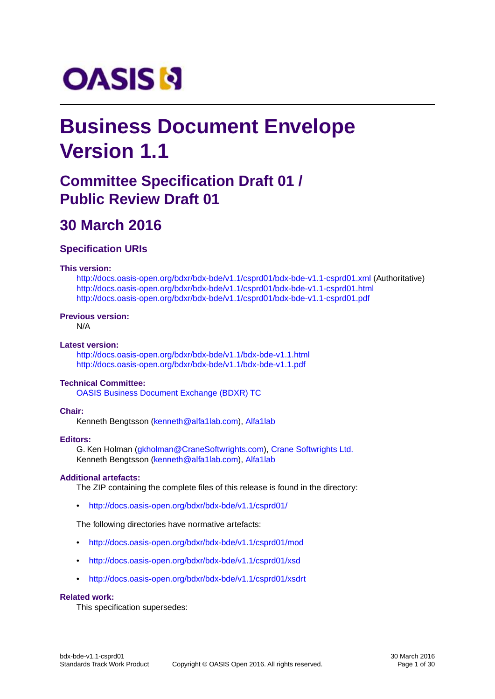# **OASIS N**

## **Business Document Envelope Version 1.1**

## **Committee Specification Draft 01 / Public Review Draft 01**

## **30 March 2016**

#### **Specification URIs**

#### **This version:**

<http://docs.oasis-open.org/bdxr/bdx-bde/v1.1/csprd01/bdx-bde-v1.1-csprd01.xml> (Authoritative) <http://docs.oasis-open.org/bdxr/bdx-bde/v1.1/csprd01/bdx-bde-v1.1-csprd01.html> <http://docs.oasis-open.org/bdxr/bdx-bde/v1.1/csprd01/bdx-bde-v1.1-csprd01.pdf>

#### **Previous version:**

N/A

#### **Latest version:**

<http://docs.oasis-open.org/bdxr/bdx-bde/v1.1/bdx-bde-v1.1.html> <http://docs.oasis-open.org/bdxr/bdx-bde/v1.1/bdx-bde-v1.1.pdf>

#### **Technical Committee:**

[OASIS Business Document Exchange \(BDXR\) TC](https://www.oasis-open.org/committees/bdxr/)

#### **Chair:**

Kenneth Bengtsson ([kenneth@alfa1lab.com\)](mailto:kenneth@alfa1lab.com), [Alfa1lab](http://www.alfa1lab.com/)

#### **Editors:**

G. Ken Holman [\(gkholman@CraneSoftwrights.com](mailto:gkholman@CraneSoftwrights.com)), [Crane Softwrights Ltd.](http://www.CraneSoftwrights.com/links/info-bde10.htm) Kenneth Bengtsson ([kenneth@alfa1lab.com\)](mailto:kenneth@alfa1lab.com), [Alfa1lab](http://www.alfa1lab.com/)

#### **Additional artefacts:**

The ZIP containing the complete files of this release is found in the directory:

• <http://docs.oasis-open.org/bdxr/bdx-bde/v1.1/csprd01/>

The following directories have normative artefacts:

- <http://docs.oasis-open.org/bdxr/bdx-bde/v1.1/csprd01/mod>
- <http://docs.oasis-open.org/bdxr/bdx-bde/v1.1/csprd01/xsd>
- <http://docs.oasis-open.org/bdxr/bdx-bde/v1.1/csprd01/xsdrt>

#### **Related work:**

This specification supersedes: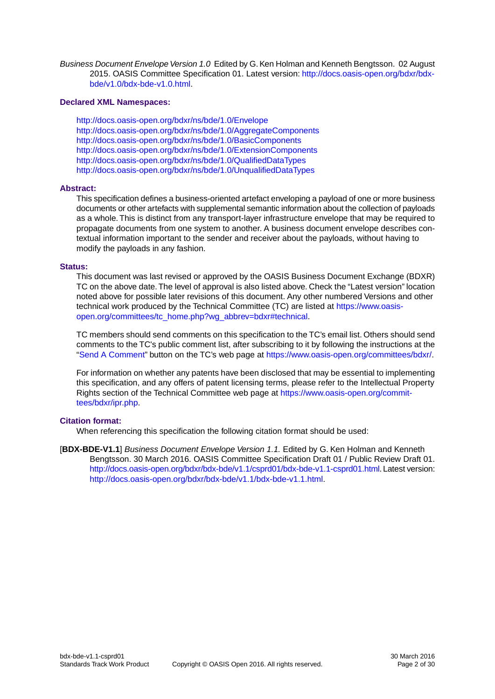*Business Document Envelope Version 1.0* Edited by G. Ken Holman and Kenneth Bengtsson. 02 August 2015. OASIS Committee Specification 01. Latest version: [http://docs.oasis-open.org/bdxr/bdx](http://docs.oasis-open.org/bdxr/bdx-bde/v1.0/bdx-bde-v1.0.html)[bde/v1.0/bdx-bde-v1.0.html](http://docs.oasis-open.org/bdxr/bdx-bde/v1.0/bdx-bde-v1.0.html).

#### **Declared XML Namespaces:**

<http://docs.oasis-open.org/bdxr/ns/bde/1.0/Envelope> <http://docs.oasis-open.org/bdxr/ns/bde/1.0/AggregateComponents> <http://docs.oasis-open.org/bdxr/ns/bde/1.0/BasicComponents> <http://docs.oasis-open.org/bdxr/ns/bde/1.0/ExtensionComponents> <http://docs.oasis-open.org/bdxr/ns/bde/1.0/QualifiedDataTypes> <http://docs.oasis-open.org/bdxr/ns/bde/1.0/UnqualifiedDataTypes>

#### **Abstract:**

This specification defines a business-oriented artefact enveloping a payload of one or more business documents or other artefacts with supplemental semantic information about the collection of payloads as a whole. This is distinct from any transport-layer infrastructure envelope that may be required to propagate documents from one system to another. A business document envelope describes contextual information important to the sender and receiver about the payloads, without having to modify the payloads in any fashion.

#### **Status:**

This document was last revised or approved by the OASIS Business Document Exchange (BDXR) TC on the above date.The level of approval is also listed above. Check the "Latest version" location noted above for possible later revisions of this document. Any other numbered Versions and other technical work produced by the Technical Committee (TC) are listed at [https://www.oasis](https://www.oasis-open.org/committees/tc_home.php?wg_abbrev=bdxr#technical)[open.org/committees/tc\\_home.php?wg\\_abbrev=bdxr#technical](https://www.oasis-open.org/committees/tc_home.php?wg_abbrev=bdxr#technical).

TC members should send comments on this specification to the TC's email list. Others should send comments to the TC's public comment list, after subscribing to it by following the instructions at the ["Send A Comment](https://www.oasis-open.org/committees/comments/index.php?wg_abbrev=bdxr)" button on the TC's web page at<https://www.oasis-open.org/committees/bdxr/>.

For information on whether any patents have been disclosed that may be essential to implementing this specification, and any offers of patent licensing terms, please refer to the Intellectual Property Rights section of the Technical Committee web page at [https://www.oasis-open.org/commit](https://www.oasis-open.org/committees/bdxr/ipr.php)[tees/bdxr/ipr.php.](https://www.oasis-open.org/committees/bdxr/ipr.php)

#### **Citation format:**

When referencing this specification the following citation format should be used:

[**BDX-BDE-V1.1**] *Business Document Envelope Version 1.1.* Edited by G. Ken Holman and Kenneth Bengtsson. 30 March 2016. OASIS Committee Specification Draft 01 / Public Review Draft 01. [http://docs.oasis-open.org/bdxr/bdx-bde/v1.1/csprd01/bdx-bde-v1.1-csprd01.html.](http://docs.oasis-open.org/bdxr/bdx-bde/v1.1/csprd01/bdx-bde-v1.1-csprd01.html) Latest version: [http://docs.oasis-open.org/bdxr/bdx-bde/v1.1/bdx-bde-v1.1.html.](http://docs.oasis-open.org/bdxr/bdx-bde/v1.1/bdx-bde-v1.1.html)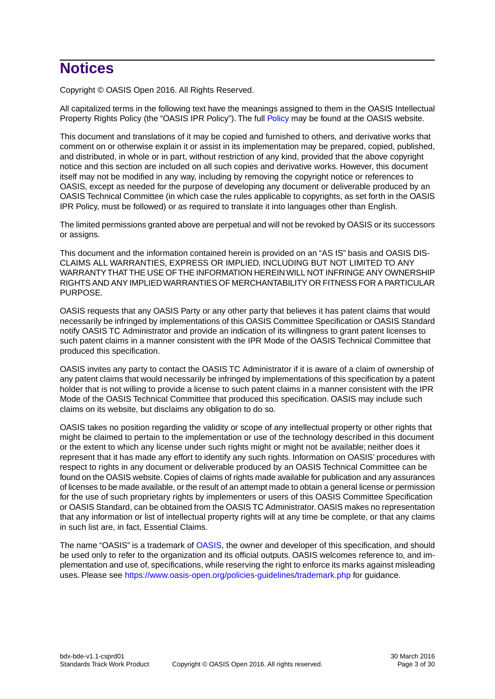## **Notices**

Copyright © OASIS Open 2016. All Rights Reserved.

All capitalized terms in the following text have the meanings assigned to them in the OASIS Intellectual Property Rights Policy (the "OASIS IPR Policy"). The full [Policy](https://www.oasis-open.org/policies-guidelines/ipr) may be found at the OASIS website.

This document and translations of it may be copied and furnished to others, and derivative works that comment on or otherwise explain it or assist in its implementation may be prepared, copied, published, and distributed, in whole or in part, without restriction of any kind, provided that the above copyright notice and this section are included on all such copies and derivative works. However, this document itself may not be modified in any way, including by removing the copyright notice or references to OASIS, except as needed for the purpose of developing any document or deliverable produced by an OASIS Technical Committee (in which case the rules applicable to copyrights, as set forth in the OASIS IPR Policy, must be followed) or as required to translate it into languages other than English.

The limited permissions granted above are perpetual and will not be revoked by OASIS or its successors or assigns.

This document and the information contained herein is provided on an "AS IS" basis and OASIS DIS-CLAIMS ALL WARRANTIES, EXPRESS OR IMPLIED, INCLUDING BUT NOT LIMITED TO ANY WARRANTY THAT THE USE OF THE INFORMATION HEREIN WILL NOT INFRINGE ANY OWNERSHIP RIGHTS AND ANY IMPLIED WARRANTIES OF MERCHANTABILITY OR FITNESS FOR A PARTICULAR PURPOSE.

OASIS requests that any OASIS Party or any other party that believes it has patent claims that would necessarily be infringed by implementations of this OASIS Committee Specification or OASIS Standard notify OASIS TC Administrator and provide an indication of its willingness to grant patent licenses to such patent claims in a manner consistent with the IPR Mode of the OASIS Technical Committee that produced this specification.

OASIS invites any party to contact the OASIS TC Administrator if it is aware of a claim of ownership of any patent claims that would necessarily be infringed by implementations of this specification by a patent holder that is not willing to provide a license to such patent claims in a manner consistent with the IPR Mode of the OASIS Technical Committee that produced this specification. OASIS may include such claims on its website, but disclaims any obligation to do so.

OASIS takes no position regarding the validity or scope of any intellectual property or other rights that might be claimed to pertain to the implementation or use of the technology described in this document or the extent to which any license under such rights might or might not be available; neither does it represent that it has made any effort to identify any such rights. Information on OASIS' procedures with respect to rights in any document or deliverable produced by an OASIS Technical Committee can be found on the OASIS website. Copies of claims of rights made available for publication and any assurances of licenses to be made available, or the result of an attempt made to obtain a general license or permission for the use of such proprietary rights by implementers or users of this OASIS Committee Specification or OASIS Standard, can be obtained from the OASIS TC Administrator. OASIS makes no representation that any information or list of intellectual property rights will at any time be complete, or that any claims in such list are, in fact, Essential Claims.

The name "OASIS" is a trademark of [OASIS,](https://www.oasis-open.org) the owner and developer of this specification, and should be used only to refer to the organization and its official outputs. OASIS welcomes reference to, and implementation and use of, specifications, while reserving the right to enforce its marks against misleading uses. Please see<https://www.oasis-open.org/policies-guidelines/trademark.php>for guidance.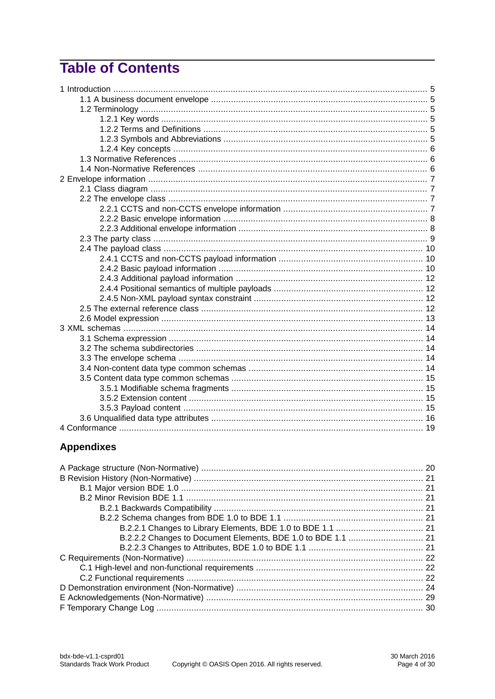## **Table of Contents**

### **Appendixes**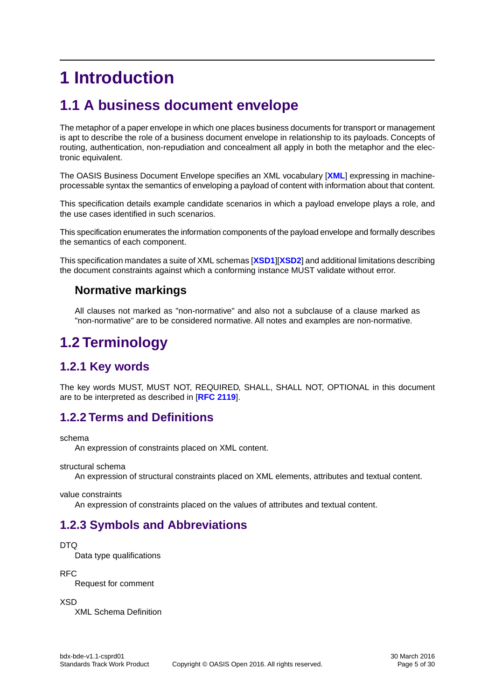## <span id="page-4-1"></span><span id="page-4-0"></span>**1 Introduction**

## **1.1 A business document envelope**

The metaphor of a paper envelope in which one places business documents for transport or management is apt to describe the role of a business document envelope in relationship to its payloads. Concepts of routing, authentication, non-repudiation and concealment all apply in both the metaphor and the electronic equivalent.

The OASIS Business Document Envelope specifies an XML vocabulary [**[XML](#page-5-3)**] expressing in machineprocessable syntax the semantics of enveloping a payload of content with information about that content.

This specification details example candidate scenarios in which a payload envelope plays a role, and the use cases identified in such scenarios.

This specification enumerates the information components of the payload envelope and formally describes the semantics of each component.

This specification mandates a suite of XML schemas [**[XSD1](#page-5-4)**][**[XSD2](#page-5-5)**] and additional limitations describing the document constraints against which a conforming instance MUST validate without error.

#### <span id="page-4-2"></span>**Normative markings**

All clauses not marked as "non-normative" and also not a subclause of a clause marked as "non-normative" are to be considered normative. All notes and examples are non-normative.

## <span id="page-4-3"></span>**1.2 Terminology**

### <span id="page-4-4"></span>**1.2.1 Key words**

The key words MUST, MUST NOT, REQUIRED, SHALL, SHALL NOT, OPTIONAL in this document are to be interpreted as described in [**[RFC 2119](#page-5-6)**].

#### **1.2.2 Terms and Definitions**

schema

An expression of constraints placed on XML content.

<span id="page-4-5"></span>structural schema

An expression of structural constraints placed on XML elements, attributes and textual content.

value constraints

An expression of constraints placed on the values of attributes and textual content.

### **1.2.3 Symbols and Abbreviations**

#### DTQ

Data type qualifications

RFC

Request for comment

XSD

XML Schema Definition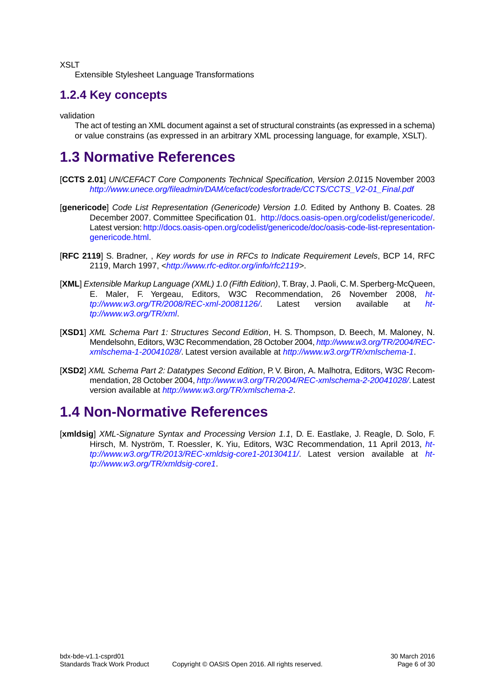XSLT

Extensible Stylesheet Language Transformations

### <span id="page-5-0"></span>**1.2.4 Key concepts**

validation

The act of testing an XML document against a set of structural constraints (as expressed in a schema) or value constrains (as expressed in an arbitrary XML processing language, for example, XSLT).

## <span id="page-5-9"></span><span id="page-5-1"></span>**1.3 Normative References**

- <span id="page-5-8"></span>[**CCTS 2.01**] *UN/CEFACT Core Components Technical Specification, Version 2.01*15 November 2003 *[http://www.unece.org/fileadmin/DAM/cefact/codesfortrade/CCTS/CCTS\\_V2-01\\_Final.pdf](http://www.unece.org/fileadmin/DAM/cefact/codesfortrade/CCTS/CCTS_V2-01_Final.pdf)*
- <span id="page-5-6"></span>[**genericode**] *Code List Representation (Genericode) Version 1.0.* Edited by Anthony B. Coates. 28 December 2007. Committee Specification 01. <http://docs.oasis-open.org/codelist/genericode/>. Latest version: [http://docs.oasis-open.org/codelist/genericode/doc/oasis-code-list-representation](http://docs.oasis-open.org/codelist/genericode/doc/oasis-code-list-representation-genericode.html)[genericode.html](http://docs.oasis-open.org/codelist/genericode/doc/oasis-code-list-representation-genericode.html).
- <span id="page-5-3"></span>[**RFC 2119**] S. Bradner, , *Key words for use in RFCs to Indicate Requirement Levels*, BCP 14, RFC 2119, March 1997, *<[http://www.rfc-editor.org/info/rfc2119>](http://www.rfc-editor.org/info/rfc2119)*.
- <span id="page-5-4"></span>[**XML**] *Extensible Markup Language (XML) 1.0 (Fifth Edition)*, T. Bray, J. Paoli, C. M. Sperberg-McQueen, E. Maler, F. Yergeau, Editors, W3C Recommendation, 26 November 2008, *ht-tp://www.w3.org/TR/2008/REC-xml-20081126*/ Latest version available at *[ht](http://www.w3.org/TR/2008/REC-xml-20081126/)[tp://www.w3.org/TR/2008/REC-xml-20081126/](http://www.w3.org/TR/2008/REC-xml-20081126/)*. Latest version available at *[ht](http://www.w3.org/TR/xml)[tp://www.w3.org/TR/xml](http://www.w3.org/TR/xml)*.
- <span id="page-5-5"></span>[**XSD1**] *XML Schema Part 1: Structures Second Edition*, H. S. Thompson, D. Beech, M. Maloney, N. Mendelsohn, Editors, W3C Recommendation, 28 October 2004, *[http://www.w3.org/TR/2004/REC](http://www.w3.org/TR/2004/REC-xmlschema-1-20041028/)[xmlschema-1-20041028/](http://www.w3.org/TR/2004/REC-xmlschema-1-20041028/)*. Latest version available at *<http://www.w3.org/TR/xmlschema-1>*.
- <span id="page-5-2"></span>[**XSD2**] *XML Schema Part 2: Datatypes Second Edition*, P. V. Biron, A. Malhotra, Editors, W3C Recommendation, 28 October 2004, *<http://www.w3.org/TR/2004/REC-xmlschema-2-20041028/>*. Latest version available at *<http://www.w3.org/TR/xmlschema-2>*.

## <span id="page-5-7"></span>**1.4 Non-Normative References**

[**xmldsig**] *XML-Signature Syntax and Processing Version 1.1*, D. E. Eastlake, J. Reagle, D. Solo, F. Hirsch, M. Nyström, T. Roessler, K. Yiu, Editors, W3C Recommendation, 11 April 2013, *[ht](http://www.w3.org/TR/2013/REC-xmldsig-core1-20130411/)[tp://www.w3.org/TR/2013/REC-xmldsig-core1-20130411/](http://www.w3.org/TR/2013/REC-xmldsig-core1-20130411/)*. Latest version available at *[ht](http://www.w3.org/TR/xmldsig-core1)[tp://www.w3.org/TR/xmldsig-core1](http://www.w3.org/TR/xmldsig-core1)*.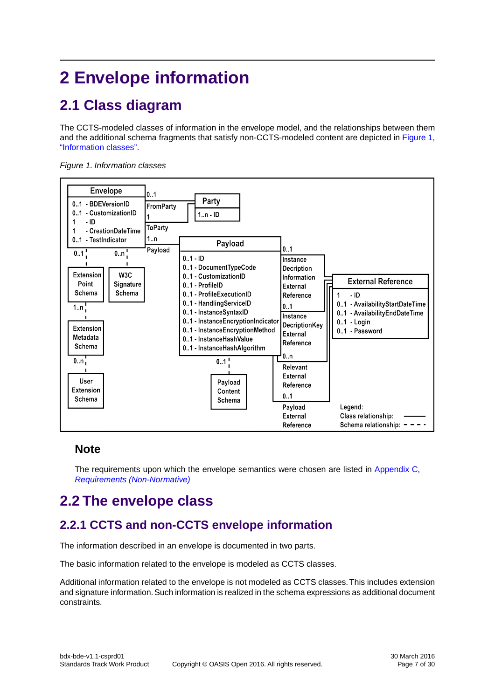## <span id="page-6-1"></span><span id="page-6-0"></span>**2 Envelope information**

## **2.1 Class diagram**

The CCTS-modeled classes of information in the envelope model, and the relationships between them and the additional schema fragments that satisfy non-CCTS-modeled content are depicted in [Figure 1,](#page-6-4) ["Information classes".](#page-6-4)

<span id="page-6-4"></span>



#### <span id="page-6-2"></span>**Note**

<span id="page-6-3"></span>The requirements upon which the envelope semantics were chosen are listed in [Appendix C,](#page-21-0) *[Requirements \(Non-Normative\)](#page-21-0)*

## **2.2 The envelope class**

### **2.2.1 CCTS and non-CCTS envelope information**

The information described in an envelope is documented in two parts.

The basic information related to the envelope is modeled as CCTS classes.

Additional information related to the envelope is not modeled as CCTS classes.This includes extension and signature information. Such information is realized in the schema expressions as additional document constraints.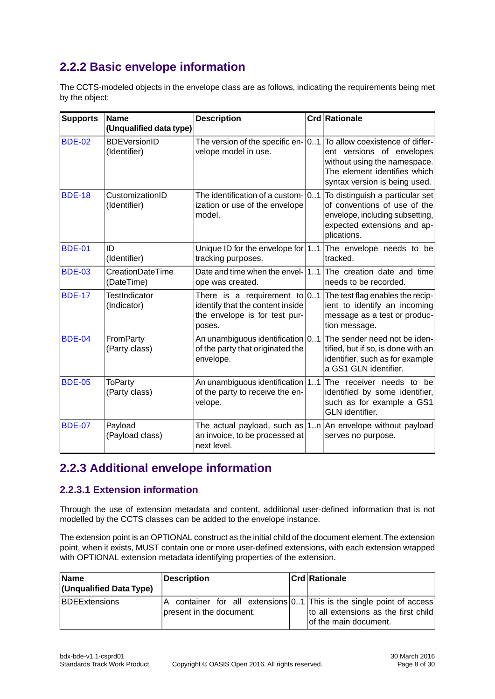### <span id="page-7-0"></span>**2.2.2 Basic envelope information**

The CCTS-modeled objects in the envelope class are as follows, indicating the requirements being met by the object:

| <b>Supports</b> | <b>Name</b><br>(Unqualified data type) | <b>Description</b>                                                                                             | <b>Crd Rationale</b>                                                                                                                                                                                 |
|-----------------|----------------------------------------|----------------------------------------------------------------------------------------------------------------|------------------------------------------------------------------------------------------------------------------------------------------------------------------------------------------------------|
| <b>BDE-02</b>   | <b>BDEVersionID</b><br>(Identifier)    | velope model in use.                                                                                           | The version of the specific en- $ 01 $ To allow coexistence of differ-<br>ent versions of envelopes<br>without using the namespace.<br>The element identifies which<br>syntax version is being used. |
| <b>BDE-18</b>   | CustomizationID<br>(Identifier)        | The identification of a custom- 01<br>ization or use of the envelope<br>model.                                 | To distinguish a particular set<br>of conventions of use of the<br>envelope, including subsetting,<br>expected extensions and ap-<br>plications.                                                     |
| <b>BDE-01</b>   | ID<br>(Identifier)                     | Unique ID for the envelope for $ 11 $<br>tracking purposes.                                                    | The envelope needs to be<br>tracked.                                                                                                                                                                 |
| <b>BDE-03</b>   | CreationDateTime<br>(DateTime)         | Date and time when the envel- $\vert 11 \vert$<br>ope was created.                                             | The creation date and time<br>needs to be recorded.                                                                                                                                                  |
| <b>BDE-17</b>   | <b>TestIndicator</b><br>(Indicator)    | There is a requirement to $0.1$<br>identify that the content inside<br>the envelope is for test pur-<br>poses. | The test flag enables the recip-<br>ient to identify an incoming<br>message as a test or produc-<br>tion message.                                                                                    |
| <b>BDE-04</b>   | FromParty<br>(Party class)             | An unambiguous identification $ 01 $<br>of the party that originated the<br>envelope.                          | The sender need not be iden-<br>tified, but if so, is done with an<br>identifier, such as for example<br>a GS1 GLN identifier.                                                                       |
| <b>BDE-05</b>   | <b>ToParty</b><br>(Party class)        | An unambiguous identification 11<br>of the party to receive the en-<br>velope.                                 | The receiver needs to be<br>identified by some identifier,<br>such as for example a GS1<br><b>GLN</b> identifier.                                                                                    |
| <b>BDE-07</b>   | Payload<br>(Payload class)             | an invoice, to be processed at<br>next level.                                                                  | The actual payload, such as $1n$ An envelope without payload<br>serves no purpose.                                                                                                                   |

### <span id="page-7-1"></span>**2.2.3 Additional envelope information**

#### **2.2.3.1 Extension information**

Through the use of extension metadata and content, additional user-defined information that is not modelled by the CCTS classes can be added to the envelope instance.

The extension point is an OPTIONAL construct as the initial child of the document element.The extension point, when it exists, MUST contain one or more user-defined extensions, with each extension wrapped with OPTIONAL extension metadata identifying properties of the extension.

| <b>Name</b><br>(Unqualified Data Type) | <b>Description</b>            | <b>Crd Rationale</b>                                                                                                                   |
|----------------------------------------|-------------------------------|----------------------------------------------------------------------------------------------------------------------------------------|
| <b>BDEExtensions</b>                   | A<br>present in the document. | container for all extensions $0.1$ This is the single point of access<br>to all extensions as the first child<br>of the main document. |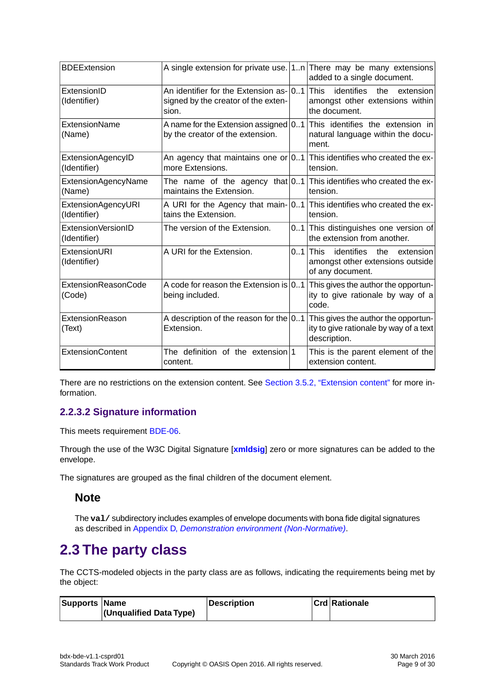| <b>BDEExtension</b>                |                                                                                             | A single extension for private use. $ 1n $ There may be many extensions<br>added to a single document.                  |
|------------------------------------|---------------------------------------------------------------------------------------------|-------------------------------------------------------------------------------------------------------------------------|
| ExtensionID<br>(Identifier)        | An identifier for the Extension as- 01 This<br>signed by the creator of the exten-<br>sion. | identifies<br>the<br>extension<br>amongst other extensions within<br>the document.                                      |
| <b>ExtensionName</b><br>(Name)     | by the creator of the extension.                                                            | A name for the Extension assigned $ 01 $ This identifies the extension in<br>natural language within the docu-<br>ment. |
| ExtensionAgencyID<br>(Identifier)  | more Extensions.                                                                            | An agency that maintains one or $ 01 $ This identifies who created the ex-<br>tension.                                  |
| ExtensionAgencyName<br>(Name)      | maintains the Extension.                                                                    | The name of the agency that $ 01 $ This identifies who created the ex-<br>tension.                                      |
| ExtensionAgencyURI<br>(Identifier) | tains the Extension.                                                                        | A URI for the Agency that main- 01 This identifies who created the ex-<br>tension.                                      |
| ExtensionVersionID<br>(Identifier) | The version of the Extension.                                                               | 01 This distinguishes one version of<br>the extension from another.                                                     |
| ExtensionURI<br>(Identifier)       | A URI for the Extension.                                                                    | $0.1$ This<br>identifies<br>the<br>extension<br>amongst other extensions outside<br>of any document.                    |
| ExtensionReasonCode<br>(Code)      | A code for reason the Extension is $ 01 $<br>being included.                                | This gives the author the opportun-<br>ity to give rationale by way of a<br>code.                                       |
| ExtensionReason<br>(Text)          | A description of the reason for the $ 01 $<br>Extension.                                    | This gives the author the opportun-<br>ity to give rationale by way of a text<br>description.                           |
| <b>ExtensionContent</b>            | The definition of the extension 1<br>content.                                               | This is the parent element of the<br>extension content.                                                                 |

There are no restrictions on the extension content. See [Section 3.5.2, "Extension content"](#page-14-2) for more information.

#### **2.2.3.2 Signature information**

This meets requirement [BDE-06.](#page-22-0)

Through the use of the W3C Digital Signature [**[xmldsig](#page-5-7)**] zero or more signatures can be added to the envelope.

<span id="page-8-0"></span>The signatures are grouped as the final children of the document element.

#### **Note**

The **val/** subdirectory includes examples of envelope documents with bona fide digital signatures as described in Appendix D, *[Demonstration environment \(Non-Normative\)](#page-23-0)*.

## **2.3 The party class**

The CCTS-modeled objects in the party class are as follows, indicating the requirements being met by the object:

| Supports Name |                             | Description | <b>Crd Rationale</b> |
|---------------|-----------------------------|-------------|----------------------|
|               | $ $ (Unqualified Data Type) |             |                      |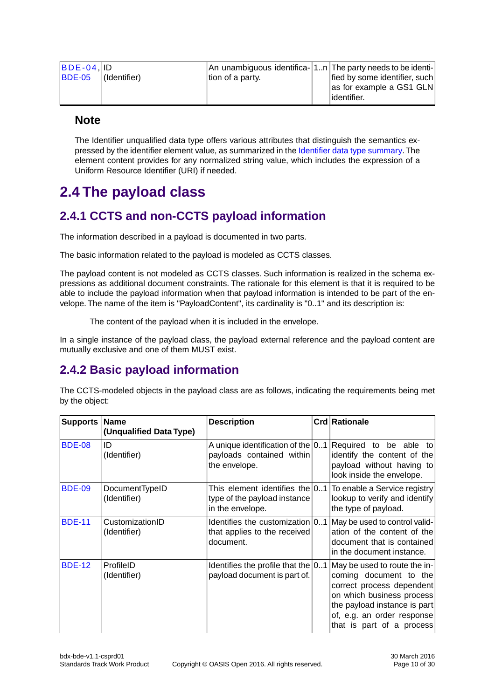| $ BDE-04 $    |              |                  | $\vert$ An unambiguous identifica- $\vert$ 1n $\vert$ The party needs to be identi- $\vert$ |
|---------------|--------------|------------------|---------------------------------------------------------------------------------------------|
| <b>BDE-05</b> | (Identifier) | tion of a party. | fied by some identifier, such                                                               |
|               |              |                  | as for example a GS1 GLN                                                                    |
|               |              |                  | lidentifier.                                                                                |

#### **Note**

The Identifier unqualified data type offers various attributes that distinguish the semantics expressed by the identifier element value, as summarized in the [Identifier data type summary](#page-16-0).The element content provides for any normalized string value, which includes the expression of a Uniform Resource Identifier (URI) if needed.

## <span id="page-9-1"></span><span id="page-9-0"></span>**2.4 The payload class**

### **2.4.1 CCTS and non-CCTS payload information**

The information described in a payload is documented in two parts.

The basic information related to the payload is modeled as CCTS classes.

The payload content is not modeled as CCTS classes. Such information is realized in the schema expressions as additional document constraints. The rationale for this element is that it is required to be able to include the payload information when that payload information is intended to be part of the envelope. The name of the item is "PayloadContent", its cardinality is "0..1" and its description is:

The content of the payload when it is included in the envelope.

<span id="page-9-2"></span>In a single instance of the payload class, the payload external reference and the payload content are mutually exclusive and one of them MUST exist.

### **2.4.2 Basic payload information**

The CCTS-modeled objects in the payload class are as follows, indicating the requirements being met by the object:

| <b>Supports Name</b> | (Unqualified Data Type)         | <b>Description</b>                                                                   | <b>Crd Rationale</b>                                                                                                                                                                                        |
|----------------------|---------------------------------|--------------------------------------------------------------------------------------|-------------------------------------------------------------------------------------------------------------------------------------------------------------------------------------------------------------|
| <b>BDE-08</b>        | ID<br>(Identifier)              | A unique identification of the $ 0.1 $<br>payloads contained within<br>the envelope. | Required to be able to<br>identify the content of the<br>payload without having to<br>look inside the envelope.                                                                                             |
| <b>BDE-09</b>        | DocumentTypeID<br>(Identifier)  | type of the payload instance<br>in the envelope.                                     | This element identifies the $[0.1]$ To enable a Service registry<br>lookup to verify and identify<br>the type of payload.                                                                                   |
| <b>BDE-11</b>        | CustomizationID<br>(Identifier) | Identifies the customization 01<br>that applies to the received<br>document.         | May be used to control valid-<br>ation of the content of the<br>document that is contained<br>in the document instance.                                                                                     |
| <b>BDE-12</b>        | ProfileID<br>(Identifier)       | Identifies the profile that the $ 01 $<br>payload document is part of.               | May be used to route the in-<br>coming document to the<br>correct process dependent<br>on which business process<br>the payload instance is part<br>of, e.g. an order response<br>that is part of a process |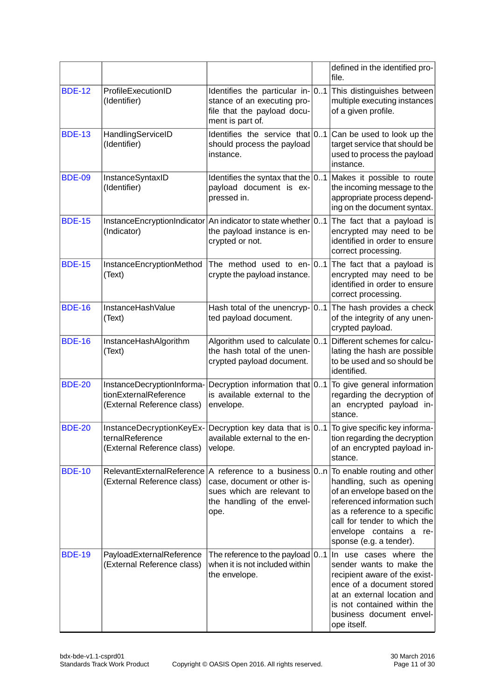|               |                                                                                   |                                                                                                                                                        |    | defined in the identified pro-<br>file.                                                                                                                                                                                                      |
|---------------|-----------------------------------------------------------------------------------|--------------------------------------------------------------------------------------------------------------------------------------------------------|----|----------------------------------------------------------------------------------------------------------------------------------------------------------------------------------------------------------------------------------------------|
| <b>BDE-12</b> | ProfileExecutionID<br>(Identifier)                                                | Identifies the particular in- $ 01 $<br>stance of an executing pro-<br>file that the payload docu-<br>ment is part of.                                 |    | This distinguishes between<br>multiple executing instances<br>of a given profile.                                                                                                                                                            |
| <b>BDE-13</b> | HandlingServiceID<br>(Identifier)                                                 | Identifies the service that $ 01 $<br>should process the payload<br>instance.                                                                          |    | Can be used to look up the<br>target service that should be<br>used to process the payload<br>instance.                                                                                                                                      |
| <b>BDE-09</b> | InstanceSyntaxID<br>(Identifier)                                                  | Identifies the syntax that the $ 01 $<br>payload document is ex-<br>pressed in.                                                                        |    | Makes it possible to route<br>the incoming message to the<br>appropriate process depend-<br>ing on the document syntax.                                                                                                                      |
| <b>BDE-15</b> | InstanceEncryptionIndicator<br>(Indicator)                                        | An indicator to state whether 01<br>the payload instance is en-<br>crypted or not.                                                                     |    | The fact that a payload is<br>encrypted may need to be<br>identified in order to ensure<br>correct processing.                                                                                                                               |
| <b>BDE-15</b> | InstanceEncryptionMethod<br>(Text)                                                | The method used to $en-$ 01<br>crypte the payload instance.                                                                                            |    | The fact that a payload is<br>encrypted may need to be<br>identified in order to ensure<br>correct processing.                                                                                                                               |
| <b>BDE-16</b> | InstanceHashValue<br>(Text)                                                       | Hash total of the unencryp-<br>ted payload document.                                                                                                   | 01 | The hash provides a check<br>of the integrity of any unen-<br>crypted payload.                                                                                                                                                               |
| <b>BDE-16</b> | InstanceHashAlgorithm<br>(Text)                                                   | Algorithm used to calculate $ 01 $<br>the hash total of the unen-<br>crypted payload document.                                                         |    | Different schemes for calcu-<br>lating the hash are possible<br>to be used and so should be<br>identified.                                                                                                                                   |
| <b>BDE-20</b> | InstanceDecryptionInforma-<br>tionExternalReference<br>(External Reference class) | Decryption information that 01<br>is available external to the<br>envelope.                                                                            |    | To give general information<br>regarding the decryption of<br>an encrypted payload in-<br>stance.                                                                                                                                            |
| <b>BDE-20</b> | ternalReference<br>(External Reference class)                                     | InstanceDecryptionKeyEx- $\vert$ Decryption key data that is $\vert 01\vert$ To give specific key informa-<br>available external to the en-<br>velope. |    | tion regarding the decryption<br>of an encrypted payload in-<br>stance.                                                                                                                                                                      |
| <b>BDE-10</b> | RelevantExternalReference<br>(External Reference class)                           | A reference to a business $0.n$<br>case, document or other is-<br>sues which are relevant to<br>the handling of the envel-<br>ope.                     |    | To enable routing and other<br>handling, such as opening<br>of an envelope based on the<br>referenced information such<br>as a reference to a specific<br>call for tender to which the<br>envelope contains a re-<br>sponse (e.g. a tender). |
| <b>BDE-19</b> | PayloadExternalReference<br>(External Reference class)                            | The reference to the payload $\vert 01 \rangle$<br>when it is not included within<br>the envelope.                                                     |    | In use cases where the<br>sender wants to make the<br>recipient aware of the exist-<br>ence of a document stored<br>at an external location and<br>is not contained within the<br>business document envel-<br>ope itself.                    |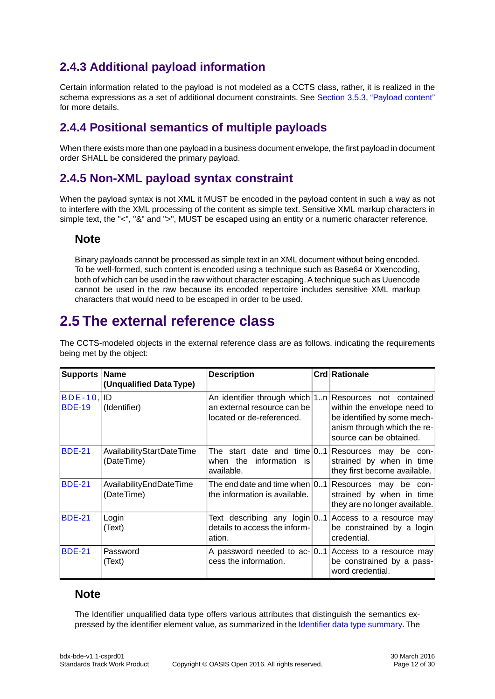## <span id="page-11-0"></span>**2.4.3 Additional payload information**

Certain information related to the payload is not modeled as a CCTS class, rather, it is realized in the schema expressions as a set of additional document constraints. See [Section 3.5.3, "Payload content"](#page-14-3) for more details.

### <span id="page-11-1"></span>**2.4.4 Positional semantics of multiple payloads**

<span id="page-11-2"></span>When there exists more than one payload in a business document envelope, the first payload in document order SHALL be considered the primary payload.

#### **2.4.5 Non-XML payload syntax constraint**

When the payload syntax is not XML it MUST be encoded in the payload content in such a way as not to interfere with the XML processing of the content as simple text. Sensitive XML markup characters in simple text, the "<", "&" and ">", MUST be escaped using an entity or a numeric character reference.

#### **Note**

<span id="page-11-3"></span>Binary payloads cannot be processed as simple text in an XML document without being encoded. To be well-formed, such content is encoded using a technique such as Base64 or Xxencoding, both of which can be used in the raw without character escaping. A technique such as Uuencode cannot be used in the raw because its encoded repertoire includes sensitive XML markup characters that would need to be escaped in order to be used.

## **2.5 The external reference class**

The CCTS-modeled objects in the external reference class are as follows, indicating the requirements being met by the object:

| Supports Name                  | (Unqualified Data Type)                 | <b>Description</b>                                                                             | Crd Rationale                                                                                                                                   |
|--------------------------------|-----------------------------------------|------------------------------------------------------------------------------------------------|-------------------------------------------------------------------------------------------------------------------------------------------------|
| $BDE-10$ , ID<br><b>BDE-19</b> | (Identifier)                            | An identifier through which   1n  <br>an external resource can be<br>located or de-referenced. | Resources not contained<br>within the envelope need to<br>be identified by some mech-<br>anism through which the re-<br>source can be obtained. |
| <b>BDE-21</b>                  | AvailabilityStartDateTime<br>(DateTime) | when the<br>information is<br>available.                                                       | The start date and time $ 01 $ Resources may be con-<br>strained by when in time<br>they first become available.                                |
| <b>BDE-21</b>                  | AvailabilityEndDateTime<br>(DateTime)   | The end date and time when $ 01 $<br>the information is available.                             | Resources may be con-<br>strained by when in time<br>they are no longer available.                                                              |
| <b>BDE-21</b>                  | Login<br>(Text)                         | details to access the inform-<br>ation.                                                        | Text describing any $login 01 $ Access to a resource may<br>be constrained by a login<br>credential.                                            |
| <b>BDE-21</b>                  | Password<br>(Text)                      | cess the information.                                                                          | A password needed to ac- $[0.1]$ Access to a resource may<br>be constrained by a pass-<br>word credential.                                      |

#### **Note**

The Identifier unqualified data type offers various attributes that distinguish the semantics expressed by the identifier element value, as summarized in the [Identifier data type summary](#page-16-0).The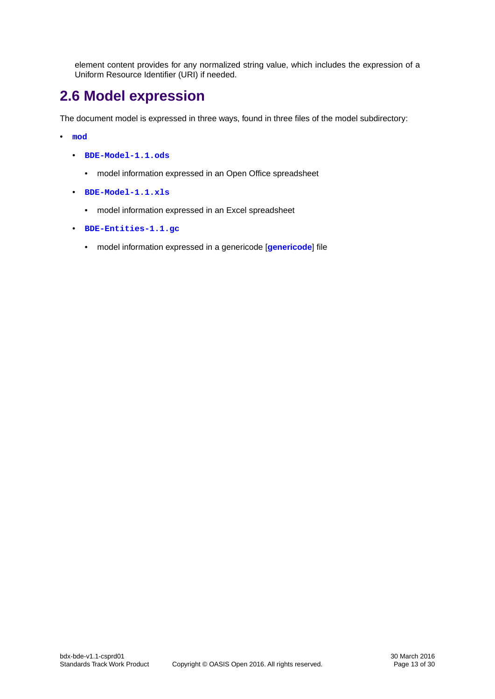element content provides for any normalized string value, which includes the expression of a Uniform Resource Identifier (URI) if needed.

## <span id="page-12-0"></span>**2.6 Model expression**

The document model is expressed in three ways, found in three files of the model subdirectory:

- **[mod](http://docs.oasis-open.org/bdxr/bdx-bde/v1.1/csprd01/mod)**
	- **[BDE-Model-1.1.ods](http://docs.oasis-open.org/bdxr/bdx-bde/v1.1/csprd01/mod/BDE-Model-1.1.ods)**
		- model information expressed in an Open Office spreadsheet
	- **[BDE-Model-1.1.xls](http://docs.oasis-open.org/bdxr/bdx-bde/v1.1/csprd01/mod/BDE-Model-1.1.xls)**
		- model information expressed in an Excel spreadsheet
	- **[BDE-Entities-1.1.gc](http://docs.oasis-open.org/bdxr/bdx-bde/v1.1/csprd01/mod/BDE-Entities-1.1.gc)**
		- model information expressed in a genericode [**[genericode](#page-5-8)**] file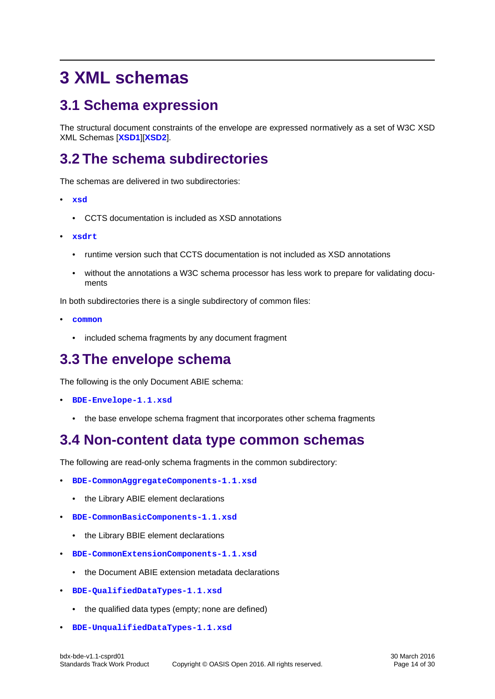## <span id="page-13-1"></span><span id="page-13-0"></span>**3 XML schemas**

## **3.1 Schema expression**

<span id="page-13-2"></span>The structural document constraints of the envelope are expressed normatively as a set of W3C XSD XML Schemas [**[XSD1](#page-5-4)**][**[XSD2](#page-5-5)**].

## **3.2 The schema subdirectories**

The schemas are delivered in two subdirectories:

- **[xsd](http://docs.oasis-open.org/bdxr/bdx-bde/v1.1/csprd01/xsd)**
	- CCTS documentation is included as XSD annotations
- **[xsdrt](http://docs.oasis-open.org/bdxr/bdx-bde/v1.1/csprd01/xsdrt)**
	- runtime version such that CCTS documentation is not included as XSD annotations
	- without the annotations a W3C schema processor has less work to prepare for validating documents

In both subdirectories there is a single subdirectory of common files:

- <span id="page-13-3"></span>• **[common](http://docs.oasis-open.org/bdxr/bdx-bde/v1.1/csprd01/xsd/common)**
	- included schema fragments by any document fragment

## **3.3 The envelope schema**

The following is the only Document ABIE schema:

- <span id="page-13-4"></span>• **[BDE-Envelope-1.1.xsd](http://docs.oasis-open.org/bdxr/bdx-bde/v1.1/csprd01/xsd/BDE-Envelope-1.1.xsd)**
	- the base envelope schema fragment that incorporates other schema fragments

## **3.4 Non-content data type common schemas**

The following are read-only schema fragments in the common subdirectory:

- **[BDE-CommonAggregateComponents-1.1.xsd](http://docs.oasis-open.org/bdxr/bdx-bde/v1.1/csprd01/xsd/common/BDE-CommonAggregateComponents-1.1.xsd)**
	- the Library ABIE element declarations
- **[BDE-CommonBasicComponents-1.1.xsd](http://docs.oasis-open.org/bdxr/bdx-bde/v1.1/csprd01/xsd/common/BDE-CommonBasicComponents-1.1.xsd)**
	- the Library BBIE element declarations
- **[BDE-CommonExtensionComponents-1.1.xsd](http://docs.oasis-open.org/bdxr/bdx-bde/v1.1/csprd01/xsd/common/BDE-CommonExtensionComponents-1.1.xsd)**
	- the Document ABIE extension metadata declarations
- **[BDE-QualifiedDataTypes-1.1.xsd](http://docs.oasis-open.org/bdxr/bdx-bde/v1.1/csprd01/xsd/common/BDE-QualifiedDataTypes-1.1.xsd)**
	- the qualified data types (empty; none are defined)
- **[BDE-UnqualifiedDataTypes-1.1.xsd](http://docs.oasis-open.org/bdxr/bdx-bde/v1.1/csprd01/xsd/common/BDE-UnqualifiedDataTypes-1.1.xsd)**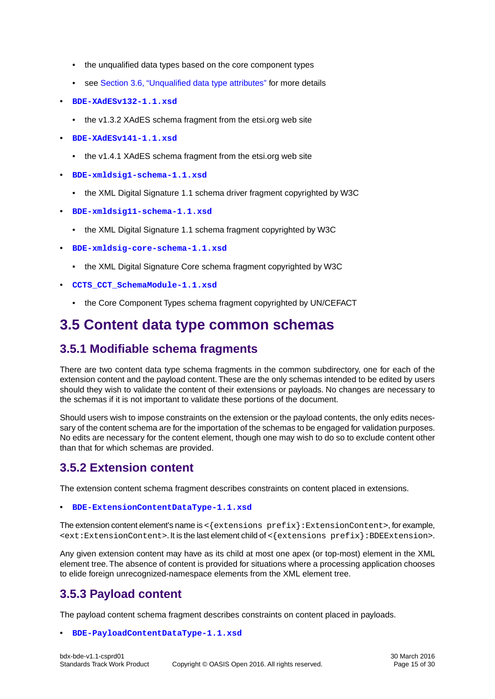- the unqualified data types based on the core component types
- see [Section 3.6, "Unqualified data type attributes"](#page-15-0) for more details
- **[BDE-XAdESv132-1.1.xsd](http://docs.oasis-open.org/bdxr/bdx-bde/v1.1/csprd01/xsd/common/BDE-XAdESv132-1.1.xsd)**
	- the v1.3.2 XAdES schema fragment from the etsi.org web site
- **[BDE-XAdESv141-1.1.xsd](http://docs.oasis-open.org/bdxr/bdx-bde/v1.1/csprd01/xsd/common/BDE-XAdESv141-1.1.xsd)**
	- the v1.4.1 XAdES schema fragment from the etsi.org web site
- **[BDE-xmldsig1-schema-1.1.xsd](http://docs.oasis-open.org/bdxr/bdx-bde/v1.1/csprd01/xsd/common/BDE-xmldsig1-schema-1.1.xsd)**
	- the XML Digital Signature 1.1 schema driver fragment copyrighted by W3C
- **[BDE-xmldsig11-schema-1.1.xsd](http://docs.oasis-open.org/bdxr/bdx-bde/v1.1/csprd01/xsd/common/BDE-xmldsig11-schema-1.1.xsd)**
	- the XML Digital Signature 1.1 schema fragment copyrighted by W3C
- **[BDE-xmldsig-core-schema-1.1.xsd](http://docs.oasis-open.org/bdxr/bdx-bde/v1.1/csprd01/xsd/common/BDE-xmldsig-core-schema-1.1.xsd)**
	- the XML Digital Signature Core schema fragment copyrighted by W3C
- <span id="page-14-0"></span>• **[CCTS\\_CCT\\_SchemaModule-1.1.xsd](http://docs.oasis-open.org/bdxr/bdx-bde/v1.1/csprd01/xsd/common/CCTS_CCT_SchemaModule-1.1.xsd)**
	- the Core Component Types schema fragment copyrighted by UN/CEFACT

## <span id="page-14-1"></span>**3.5 Content data type common schemas**

### **3.5.1 Modifiable schema fragments**

There are two content data type schema fragments in the common subdirectory, one for each of the extension content and the payload content.These are the only schemas intended to be edited by users should they wish to validate the content of their extensions or payloads. No changes are necessary to the schemas if it is not important to validate these portions of the document.

<span id="page-14-2"></span>Should users wish to impose constraints on the extension or the payload contents, the only edits necessary of the content schema are for the importation of the schemas to be engaged for validation purposes. No edits are necessary for the content element, though one may wish to do so to exclude content other than that for which schemas are provided.

#### **3.5.2 Extension content**

The extension content schema fragment describes constraints on content placed in extensions.

• **[BDE-ExtensionContentDataType-1.1.xsd](http://docs.oasis-open.org/bdxr/bdx-bde/v1.1/csprd01/xsd/common/BDE-ExtensionContentDataType-1.1.xsd)**

<span id="page-14-3"></span>The extension content element's name is  $\langle$  extensions  $prefix$  : ExtensionContent>, for example,  $\leq$   $\leq$   $\leq$   $\leq$   $\leq$   $\leq$   $\leq$   $\leq$   $\leq$   $\leq$   $\leq$   $\leq$   $\leq$   $\leq$   $\leq$   $\leq$   $\leq$   $\leq$   $\leq$   $\leq$   $\leq$   $\leq$   $\leq$   $\leq$   $\leq$   $\leq$   $\leq$   $\leq$   $\leq$   $\leq$   $\leq$   $\leq$   $\leq$   $\leq$   $\leq$   $\leq$   $\leq$ 

Any given extension content may have as its child at most one apex (or top-most) element in the XML element tree.The absence of content is provided for situations where a processing application chooses to elide foreign unrecognized-namespace elements from the XML element tree.

#### **3.5.3 Payload content**

The payload content schema fragment describes constraints on content placed in payloads.

#### • **[BDE-PayloadContentDataType-1.1.xsd](http://docs.oasis-open.org/bdxr/bdx-bde/v1.1/csprd01/xsd/common/BDE-PayloadContentDataType-1.1.xsd)**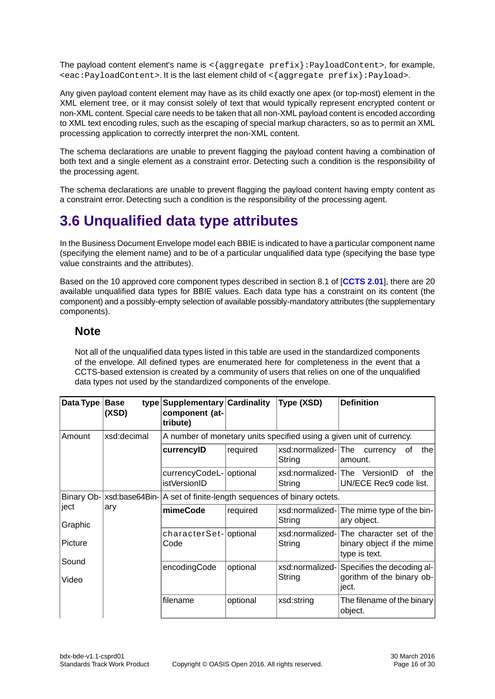The payload content element's name is  $\langle \{ \text{aggregate prefix} \} : \text{PayloadContent} \rangle$ , for example, <eac:PayloadContent>. It is the last element child of <{aggregate prefix}:Payload>.

Any given payload content element may have as its child exactly one apex (or top-most) element in the XML element tree, or it may consist solely of text that would typically represent encrypted content or non-XML content. Special care needs to be taken that all non-XML payload content is encoded according to XML text encoding rules, such as the escaping of special markup characters, so as to permit an XML processing application to correctly interpret the non-XML content.

The schema declarations are unable to prevent flagging the payload content having a combination of both text and a single element as a constraint error. Detecting such a condition is the responsibility of the processing agent.

<span id="page-15-0"></span>The schema declarations are unable to prevent flagging the payload content having empty content as a constraint error. Detecting such a condition is the responsibility of the processing agent.

## **3.6 Unqualified data type attributes**

In the Business Document Envelope model each BBIE is indicated to have a particular component name (specifying the element name) and to be of a particular unqualified data type (specifying the base type value constraints and the attributes).

Based on the 10 approved core component types described in section 8.1 of [**[CCTS 2.01](#page-5-9)**], there are 20 available unqualified data types for BBIE values. Each data type has a constraint on its content (the component) and a possibly-empty selection of available possibly-mandatory attributes (the supplementary components).

#### **Note**

Not all of the unqualified data types listed in this table are used in the standardized components of the envelope. All defined types are enumerated here for completeness in the event that a CCTS-based extension is created by a community of users that relies on one of the unqualified data types not used by the standardized components of the envelope.

| Data Type   Base | (XSD)       | type Supplementary Cardinality<br>component (at-<br>tribute)                 |          | Type (XSD)                            | <b>Definition</b>                                                                     |  |  |
|------------------|-------------|------------------------------------------------------------------------------|----------|---------------------------------------|---------------------------------------------------------------------------------------|--|--|
| Amount           | xsd:decimal | A number of monetary units specified using a given unit of currency.         |          |                                       |                                                                                       |  |  |
|                  |             | currencylD                                                                   | required | xsd:normalized-The currency<br>String | thel<br>0f<br>amount.                                                                 |  |  |
|                  |             | currencyCodeL- optional<br>istVersionID                                      |          | String                                | xsd:normalized-The VersionID<br>οf<br>the<br>UN/ECE Rec9 code list.                   |  |  |
|                  |             | Binary Ob- xsd:base64Bin- A set of finite-length sequences of binary octets. |          |                                       |                                                                                       |  |  |
| ject<br>Graphic  | ary         | mimeCode                                                                     | required | String                                | xsd:normalized- The mime type of the bin-<br>ary object.                              |  |  |
| Picture          |             | characterSet- optional<br>Code                                               |          | String                                | xsd:normalized-The character set of the<br>binary object if the mime<br>type is text. |  |  |
| Sound<br>Video   |             | encodingCode                                                                 | optional | xsd:normalized-<br>String             | Specifies the decoding al-<br>gorithm of the binary ob-<br>ject.                      |  |  |
|                  |             | filename                                                                     | optional | xsd:string                            | The filename of the binary<br>object.                                                 |  |  |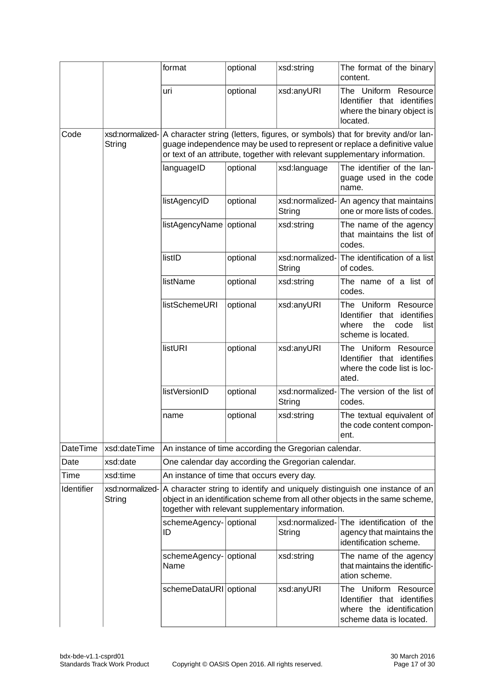<span id="page-16-0"></span>

|            |                           | format                                                | optional | xsd:string                | The format of the binary<br>content.                                                                                                                                                                                                      |
|------------|---------------------------|-------------------------------------------------------|----------|---------------------------|-------------------------------------------------------------------------------------------------------------------------------------------------------------------------------------------------------------------------------------------|
|            |                           | uri                                                   | optional | xsd:anyURI                | The Uniform Resource<br>Identifier that identifies<br>where the binary object is<br>located.                                                                                                                                              |
| Code       | xsd:normalized-<br>String |                                                       |          |                           | A character string (letters, figures, or symbols) that for brevity and/or lan-<br>guage independence may be used to represent or replace a definitive value<br>or text of an attribute, together with relevant supplementary information. |
|            |                           | languageID                                            | optional | xsd:language              | The identifier of the lan-<br>guage used in the code<br>name.                                                                                                                                                                             |
|            |                           | listAgencyID                                          | optional | xsd:normalized-<br>String | An agency that maintains<br>one or more lists of codes.                                                                                                                                                                                   |
|            |                           | listAgencyName                                        | optional | xsd:string                | The name of the agency<br>that maintains the list of<br>codes.                                                                                                                                                                            |
|            |                           | listID                                                | optional | xsd:normalized-<br>String | The identification of a list<br>of codes.                                                                                                                                                                                                 |
|            |                           | listName                                              | optional | xsd:string                | The name of a list of<br>codes.                                                                                                                                                                                                           |
|            |                           | <b>listSchemeURI</b>                                  | optional | xsd:anyURI                | The Uniform Resource<br>identifies<br>Identifier that<br>where<br>the<br>code<br>list<br>scheme is located.                                                                                                                               |
|            |                           | listURI                                               | optional | xsd:anyURI                | The Uniform Resource<br>Identifier that identifies<br>where the code list is loc-<br>ated.                                                                                                                                                |
|            |                           | listVersionID                                         | optional | xsd:normalized-<br>String | The version of the list of<br>codes.                                                                                                                                                                                                      |
|            |                           | name                                                  | optional | xsd:string                | The textual equivalent of<br>the code content compon-<br>ent.                                                                                                                                                                             |
| DateTime   | xsd:dateTime              | An instance of time according the Gregorian calendar. |          |                           |                                                                                                                                                                                                                                           |
| Date       | xsd:date                  | One calendar day according the Gregorian calendar.    |          |                           |                                                                                                                                                                                                                                           |
| Time       | xsd:time                  | An instance of time that occurs every day.            |          |                           |                                                                                                                                                                                                                                           |
| Identifier | xsd:normalized-<br>String | together with relevant supplementary information.     |          |                           | A character string to identify and uniquely distinguish one instance of an<br>object in an identification scheme from all other objects in the same scheme,                                                                               |
|            |                           | schemeAgency- optional<br>ID                          |          | xsd:normalized-<br>String | The identification of the<br>agency that maintains the<br>identification scheme.                                                                                                                                                          |
|            |                           | schemeAgency- optional<br>Name                        |          | xsd:string                | The name of the agency<br>that maintains the identific-<br>ation scheme.                                                                                                                                                                  |
|            |                           | schemeDataURI optional                                |          | xsd:anyURI                | The Uniform Resource<br>Identifier that identifies<br>where the identification<br>scheme data is located.                                                                                                                                 |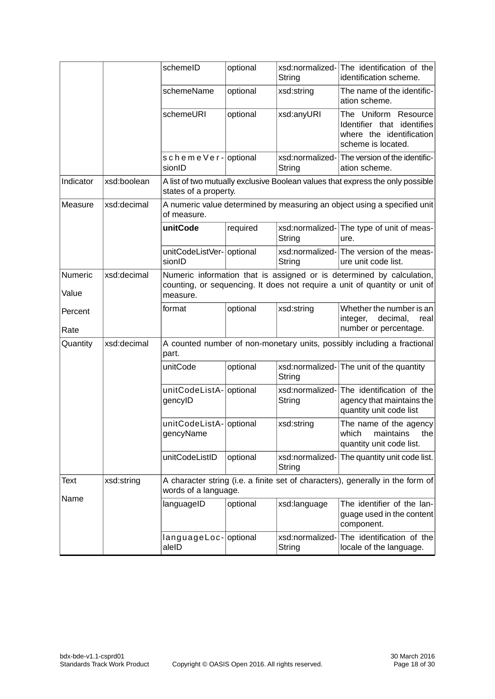|                  |             | schemelD                                                                                | optional | String                    | xsd:normalized-The identification of the<br>identification scheme.                                                                                  |  |
|------------------|-------------|-----------------------------------------------------------------------------------------|----------|---------------------------|-----------------------------------------------------------------------------------------------------------------------------------------------------|--|
|                  |             | schemeName                                                                              | optional | xsd:string                | The name of the identific-<br>ation scheme.                                                                                                         |  |
|                  |             | schemeURI                                                                               | optional | xsd:anyURI                | The Uniform Resource<br>Identifier that identifies<br>where the identification<br>scheme is located.                                                |  |
|                  |             | schemeVer-optional<br>sionID                                                            |          | String                    | xsd:normalized-The version of the identific-<br>ation scheme.                                                                                       |  |
| Indicator        | xsd:boolean | states of a property.                                                                   |          |                           | A list of two mutually exclusive Boolean values that express the only possible                                                                      |  |
| Measure          | xsd:decimal | A numeric value determined by measuring an object using a specified unit<br>of measure. |          |                           |                                                                                                                                                     |  |
|                  |             | unitCode                                                                                | required | String                    | xsd:normalized- The type of unit of meas-<br>ure.                                                                                                   |  |
|                  |             | unitCodeListVer- optional<br>sionID                                                     |          | xsd:normalized-<br>String | The version of the meas-<br>ure unit code list.                                                                                                     |  |
| Numeric<br>Value | xsd:decimal | measure.                                                                                |          |                           | Numeric information that is assigned or is determined by calculation,<br>counting, or sequencing. It does not require a unit of quantity or unit of |  |
| Percent<br>Rate  |             | format                                                                                  | optional | xsd:string                | Whether the number is an<br>integer,<br>decimal,<br>real<br>number or percentage.                                                                   |  |
| Quantity         | xsd:decimal | A counted number of non-monetary units, possibly including a fractional<br>part.        |          |                           |                                                                                                                                                     |  |
|                  |             | unitCode                                                                                | optional | String                    | xsd:normalized-The unit of the quantity                                                                                                             |  |
|                  |             | unitCodeListA- optional<br>gencyID                                                      |          | xsd:normalized-<br>String | The identification of the<br>agency that maintains the<br>quantity unit code list                                                                   |  |
|                  |             | unitCodeListA- optional<br>gencyName                                                    |          | xsd:string                | The name of the agency<br>which maintains the<br>quantity unit code list.                                                                           |  |
|                  |             | unitCodeListID                                                                          | optional | xsd:normalized-<br>String | The quantity unit code list.                                                                                                                        |  |
| Text             | xsd:string  | words of a language.                                                                    |          |                           | A character string (i.e. a finite set of characters), generally in the form of                                                                      |  |
| Name             |             | languageID                                                                              | optional | xsd:language              | The identifier of the lan-<br>guage used in the content<br>component.                                                                               |  |
|                  |             | languageLoc- optional<br>aleID                                                          |          | xsd:normalized-<br>String | The identification of the<br>locale of the language.                                                                                                |  |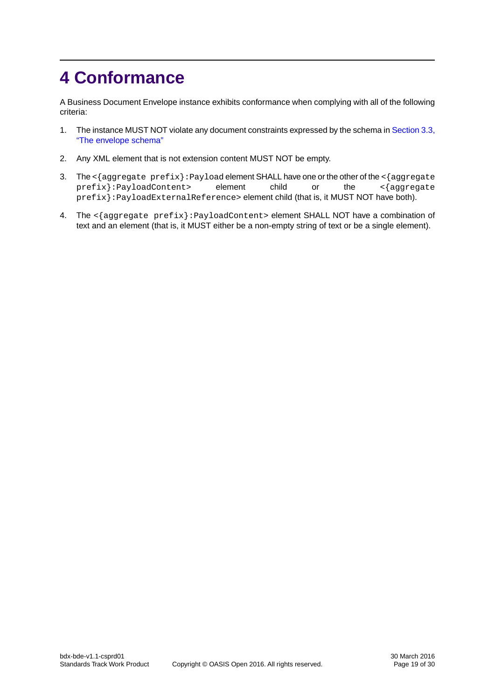## <span id="page-18-0"></span>**4 Conformance**

A Business Document Envelope instance exhibits conformance when complying with all of the following criteria:

- 1. The instance MUST NOT violate any document constraints expressed by the schema in [Section 3.3,](#page-13-3) ["The envelope schema"](#page-13-3)
- 2. Any XML element that is not extension content MUST NOT be empty.
- 3. The <{aggregate prefix}: Payload element SHALL have one or the other of the <{aggregate prefix}:PayloadContent> element child or the <{aggregate prefix}:PayloadExternalReference> element child (that is, it MUST NOT have both).
- 4. The <{aggregate prefix}: PayloadContent> element SHALL NOT have a combination of text and an element (that is, it MUST either be a non-empty string of text or be a single element).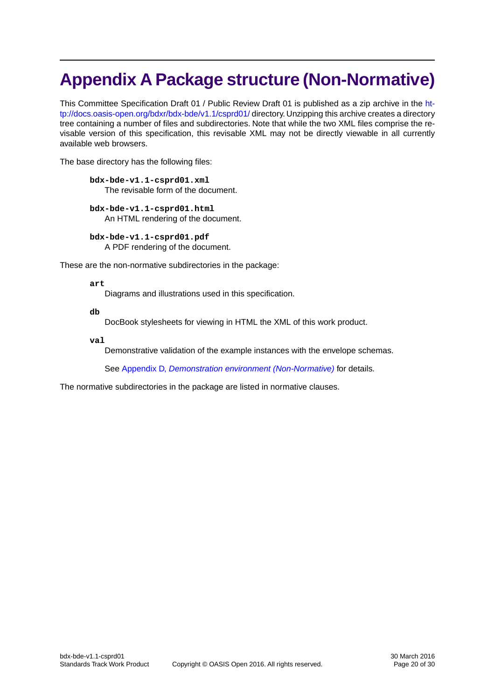## <span id="page-19-0"></span>**Appendix A Package structure (Non-Normative)**

This Committee Specification Draft 01 / Public Review Draft 01 is published as a zip archive in the [ht](http://docs.oasis-open.org/bdxr/bdx-bde/v1.1/csprd01/)[tp://docs.oasis-open.org/bdxr/bdx-bde/v1.1/csprd01/](http://docs.oasis-open.org/bdxr/bdx-bde/v1.1/csprd01/) directory. Unzipping this archive creates a directory tree containing a number of files and subdirectories. Note that while the two XML files comprise the revisable version of this specification, this revisable XML may not be directly viewable in all currently available web browsers.

The base directory has the following files:

- **bdx-bde-v1.1-csprd01.xml** The revisable form of the document.
- **bdx-bde-v1.1-csprd01.html** An HTML rendering of the document.

**bdx-bde-v1.1-csprd01.pdf** A PDF rendering of the document.

These are the non-normative subdirectories in the package:

#### **art**

Diagrams and illustrations used in this specification.

**db**

DocBook stylesheets for viewing in HTML the XML of this work product.

**val**

Demonstrative validation of the example instances with the envelope schemas.

See Appendix D, *[Demonstration environment \(Non-Normative\)](#page-23-0)* for details.

The normative subdirectories in the package are listed in normative clauses.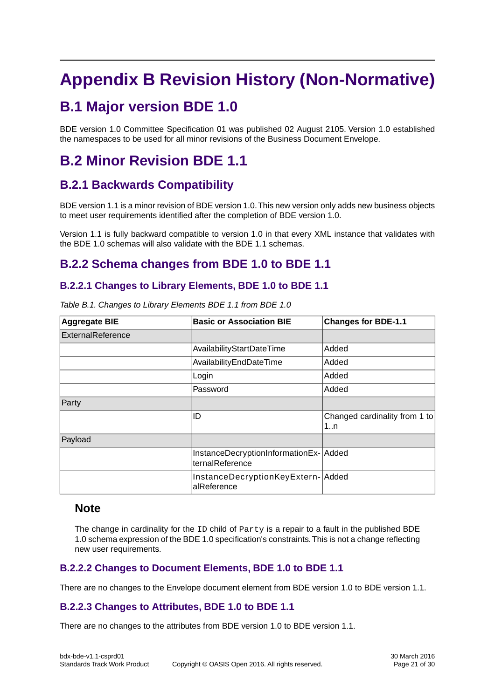## <span id="page-20-1"></span><span id="page-20-0"></span>**Appendix B Revision History (Non-Normative)**

## **B.1 Major version BDE 1.0**

<span id="page-20-2"></span>BDE version 1.0 Committee Specification 01 was published 02 August 2105. Version 1.0 established the namespaces to be used for all minor revisions of the Business Document Envelope.

## <span id="page-20-3"></span>**B.2 Minor Revision BDE 1.1**

### **B.2.1 Backwards Compatibility**

BDE version 1.1 is a minor revision of BDE version 1.0.This new version only adds new business objects to meet user requirements identified after the completion of BDE version 1.0.

<span id="page-20-4"></span>Version 1.1 is fully backward compatible to version 1.0 in that every XML instance that validates with the BDE 1.0 schemas will also validate with the BDE 1.1 schemas.

### <span id="page-20-5"></span>**B.2.2 Schema changes from BDE 1.0 to BDE 1.1**

#### **B.2.2.1 Changes to Library Elements, BDE 1.0 to BDE 1.1**

| <b>Aggregate BIE</b> | <b>Basic or Association BIE</b>                          | <b>Changes for BDE-1.1</b>          |
|----------------------|----------------------------------------------------------|-------------------------------------|
| ExternalReference    |                                                          |                                     |
|                      | AvailabilityStartDateTime                                | Added                               |
|                      | AvailabilityEndDateTime                                  | Added                               |
|                      | Login                                                    | Added                               |
|                      | Password                                                 | Added                               |
| Party                |                                                          |                                     |
|                      | ID                                                       | Changed cardinality from 1 to<br>1n |
| Payload              |                                                          |                                     |
|                      | InstanceDecryptionInformationEx-Added<br>ternalReference |                                     |
|                      | InstanceDecryptionKeyExtern- Added<br>alReference        |                                     |

*Table B.1. Changes to Library Elements BDE 1.1 from BDE 1.0*

#### <span id="page-20-6"></span>**Note**

<span id="page-20-7"></span>The change in cardinality for the ID child of Party is a repair to a fault in the published BDE 1.0 schema expression of the BDE 1.0 specification's constraints.This is not a change reflecting new user requirements.

#### **B.2.2.2 Changes to Document Elements, BDE 1.0 to BDE 1.1**

There are no changes to the Envelope document element from BDE version 1.0 to BDE version 1.1.

#### **B.2.2.3 Changes to Attributes, BDE 1.0 to BDE 1.1**

There are no changes to the attributes from BDE version 1.0 to BDE version 1.1.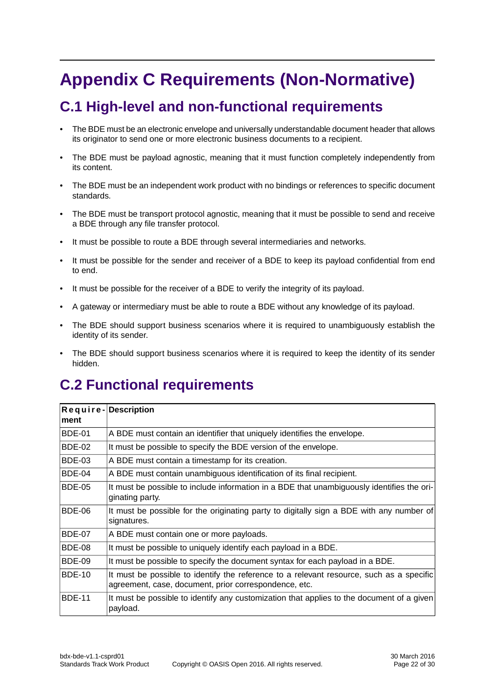## <span id="page-21-1"></span><span id="page-21-0"></span>**Appendix C Requirements (Non-Normative)**

## **C.1 High-level and non-functional requirements**

- The BDE must be an electronic envelope and universally understandable document header that allows its originator to send one or more electronic business documents to a recipient.
- The BDE must be payload agnostic, meaning that it must function completely independently from its content.
- The BDE must be an independent work product with no bindings or references to specific document standards.
- The BDE must be transport protocol agnostic, meaning that it must be possible to send and receive a BDE through any file transfer protocol.
- It must be possible to route a BDE through several intermediaries and networks.
- It must be possible for the sender and receiver of a BDE to keep its payload confidential from end to end.
- It must be possible for the receiver of a BDE to verify the integrity of its payload.
- A gateway or intermediary must be able to route a BDE without any knowledge of its payload.
- The BDE should support business scenarios where it is required to unambiguously establish the identity of its sender.
- <span id="page-21-2"></span>The BDE should support business scenarios where it is required to keep the identity of its sender hidden.

## **C.2 Functional requirements**

|               | Require-Description                                                                                                                               |  |  |
|---------------|---------------------------------------------------------------------------------------------------------------------------------------------------|--|--|
| ment          |                                                                                                                                                   |  |  |
| <b>BDE-01</b> | A BDE must contain an identifier that uniquely identifies the envelope.                                                                           |  |  |
| <b>BDE-02</b> | It must be possible to specify the BDE version of the envelope.                                                                                   |  |  |
| <b>BDE-03</b> | A BDE must contain a timestamp for its creation.                                                                                                  |  |  |
| BDE-04        | A BDE must contain unambiguous identification of its final recipient.                                                                             |  |  |
| <b>BDE-05</b> | It must be possible to include information in a BDE that unambiguously identifies the ori-<br>ginating party.                                     |  |  |
| BDE-06        | It must be possible for the originating party to digitally sign a BDE with any number of<br>signatures.                                           |  |  |
| <b>BDE-07</b> | A BDE must contain one or more payloads.                                                                                                          |  |  |
| BDE-08        | It must be possible to uniquely identify each payload in a BDE.                                                                                   |  |  |
| <b>BDE-09</b> | It must be possible to specify the document syntax for each payload in a BDE.                                                                     |  |  |
| <b>BDE-10</b> | It must be possible to identify the reference to a relevant resource, such as a specific<br>agreement, case, document, prior correspondence, etc. |  |  |
| <b>BDE-11</b> | It must be possible to identify any customization that applies to the document of a given<br>payload.                                             |  |  |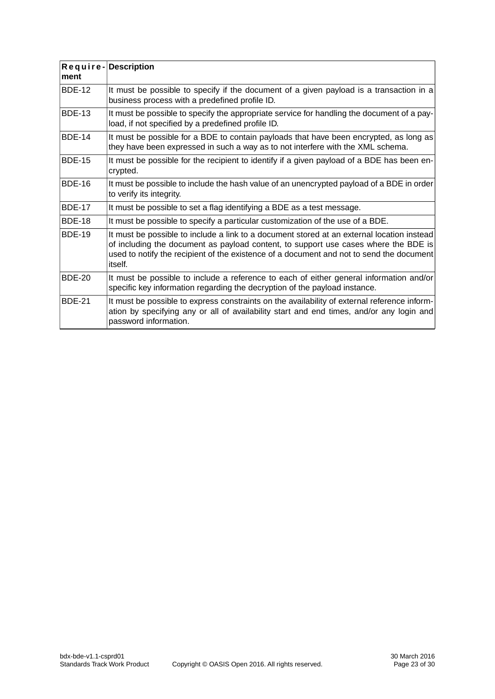<span id="page-22-0"></span>

| ment          | Require-Description                                                                                                                                                                                                                                                                      |  |  |
|---------------|------------------------------------------------------------------------------------------------------------------------------------------------------------------------------------------------------------------------------------------------------------------------------------------|--|--|
| <b>BDE-12</b> | It must be possible to specify if the document of a given payload is a transaction in a<br>business process with a predefined profile ID.                                                                                                                                                |  |  |
| <b>BDE-13</b> | It must be possible to specify the appropriate service for handling the document of a pay-<br>load, if not specified by a predefined profile ID.                                                                                                                                         |  |  |
| <b>BDE-14</b> | It must be possible for a BDE to contain payloads that have been encrypted, as long as<br>they have been expressed in such a way as to not interfere with the XML schema.                                                                                                                |  |  |
| <b>BDE-15</b> | It must be possible for the recipient to identify if a given payload of a BDE has been en-<br>crypted.                                                                                                                                                                                   |  |  |
| <b>BDE-16</b> | It must be possible to include the hash value of an unencrypted payload of a BDE in order<br>to verify its integrity.                                                                                                                                                                    |  |  |
| <b>BDE-17</b> | It must be possible to set a flag identifying a BDE as a test message.                                                                                                                                                                                                                   |  |  |
| <b>BDE-18</b> | It must be possible to specify a particular customization of the use of a BDE.                                                                                                                                                                                                           |  |  |
| <b>BDE-19</b> | It must be possible to include a link to a document stored at an external location instead<br>of including the document as payload content, to support use cases where the BDE is<br>used to notify the recipient of the existence of a document and not to send the document<br>itself. |  |  |
| <b>BDE-20</b> | It must be possible to include a reference to each of either general information and/or<br>specific key information regarding the decryption of the payload instance.                                                                                                                    |  |  |
| <b>BDE-21</b> | It must be possible to express constraints on the availability of external reference inform-<br>ation by specifying any or all of availability start and end times, and/or any login and<br>password information.                                                                        |  |  |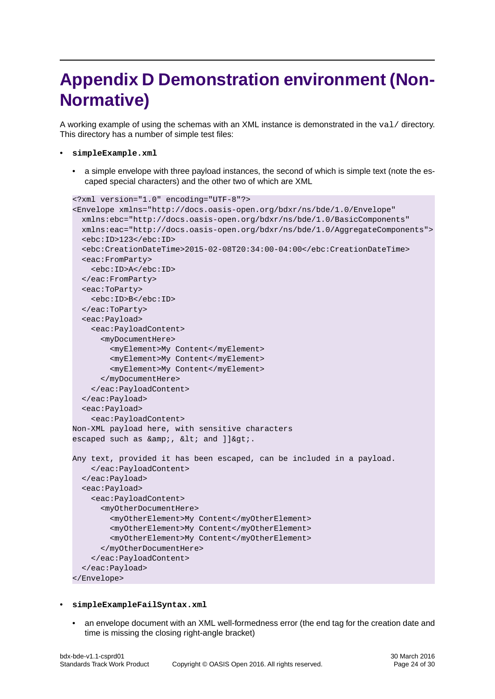## <span id="page-23-0"></span>**Appendix D Demonstration environment (Non-Normative)**

A working example of using the schemas with an XML instance is demonstrated in the val/ directory. This directory has a number of simple test files:

- **simpleExample.xml**
	- a simple envelope with three payload instances, the second of which is simple text (note the escaped special characters) and the other two of which are XML

```
<?xml version="1.0" encoding="UTF-8"?>
<Envelope xmlns="http://docs.oasis-open.org/bdxr/ns/bde/1.0/Envelope"
  xmlns:ebc="http://docs.oasis-open.org/bdxr/ns/bde/1.0/BasicComponents"
  xmlns:eac="http://docs.oasis-open.org/bdxr/ns/bde/1.0/AggregateComponents">
  <ebc:ID>123</ebc:ID>
  <ebc:CreationDateTime>2015-02-08T20:34:00-04:00</ebc:CreationDateTime>
  <eac:FromParty>
     <ebc:ID>A</ebc:ID>
  </eac:FromParty>
  <eac:ToParty>
     <ebc:ID>B</ebc:ID>
   </eac:ToParty>
  <eac:Payload>
     <eac:PayloadContent>
       <myDocumentHere>
         <myElement>My Content</myElement>
         <myElement>My Content</myElement>
         <myElement>My Content</myElement>
       </myDocumentHere>
     </eac:PayloadContent>
  </eac:Payload>
   <eac:Payload>
     <eac:PayloadContent>
Non-XML payload here, with sensitive characters 
escaped such as \&amp;, \&lt; and ]]\>.
Any text, provided it has been escaped, can be included in a payload.
     </eac:PayloadContent>
  </eac:Payload>
   <eac:Payload>
     <eac:PayloadContent>
       <myOtherDocumentHere>
         <myOtherElement>My Content</myOtherElement>
         <myOtherElement>My Content</myOtherElement>
         <myOtherElement>My Content</myOtherElement>
       </myOtherDocumentHere>
     </eac:PayloadContent>
   </eac:Payload>
</Envelope>
```
#### • **simpleExampleFailSyntax.xml**

• an envelope document with an XML well-formedness error (the end tag for the creation date and time is missing the closing right-angle bracket)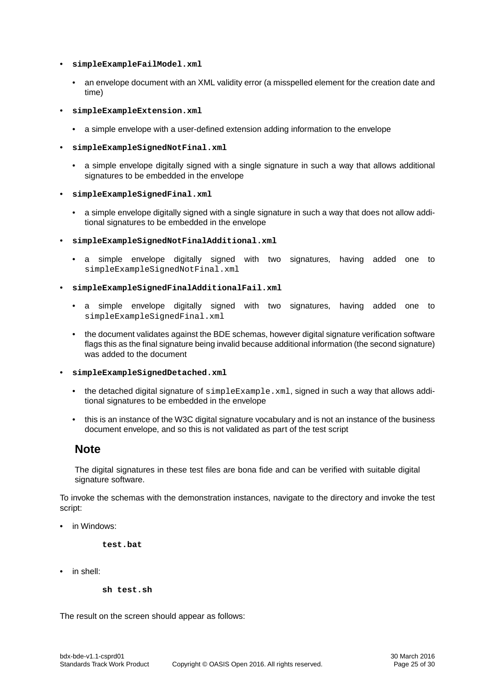- **simpleExampleFailModel.xml**
	- an envelope document with an XML validity error (a misspelled element for the creation date and time)
- **simpleExampleExtension.xml**
	- a simple envelope with a user-defined extension adding information to the envelope
- **simpleExampleSignedNotFinal.xml**
	- a simple envelope digitally signed with a single signature in such a way that allows additional signatures to be embedded in the envelope
- **simpleExampleSignedFinal.xml**
	- a simple envelope digitally signed with a single signature in such a way that does not allow additional signatures to be embedded in the envelope
- **simpleExampleSignedNotFinalAdditional.xml**
	- a simple envelope digitally signed with two signatures, having added one to simpleExampleSignedNotFinal.xml
- **simpleExampleSignedFinalAdditionalFail.xml**
	- a simple envelope digitally signed with two signatures, having added one to simpleExampleSignedFinal.xml
	- the document validates against the BDE schemas, however digital signature verification software flags this as the final signature being invalid because additional information (the second signature) was added to the document
- **simpleExampleSignedDetached.xml**
	- the detached digital signature of  $simpleExample xm1$ , signed in such a way that allows additional signatures to be embedded in the envelope
	- this is an instance of the W3C digital signature vocabulary and is not an instance of the business document envelope, and so this is not validated as part of the test script

#### **Note**

The digital signatures in these test files are bona fide and can be verified with suitable digital signature software.

To invoke the schemas with the demonstration instances, navigate to the directory and invoke the test script:

• in Windows:

**test.bat**

• in shell:

**sh test.sh**

The result on the screen should appear as follows: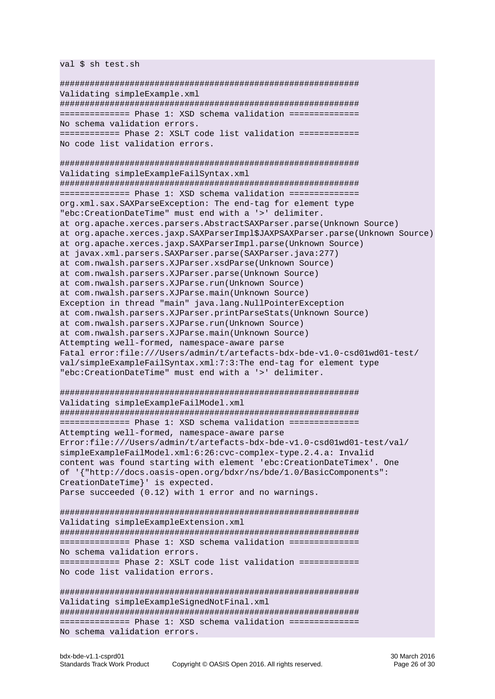val \$ sh test.sh

############################################################ Validating simpleExample.xml ############################################################ ============== Phase 1: XSD schema validation ============== No schema validation errors. ============ Phase 2: XSLT code list validation ============ No code list validation errors. ############################################################ Validating simpleExampleFailSyntax.xml ############################################################ ============== Phase 1: XSD schema validation ============== org.xml.sax.SAXParseException: The end-tag for element type "ebc:CreationDateTime" must end with a '>' delimiter. at org.apache.xerces.parsers.AbstractSAXParser.parse(Unknown Source) at org.apache.xerces.jaxp.SAXParserImpl\$JAXPSAXParser.parse(Unknown Source) at org.apache.xerces.jaxp.SAXParserImpl.parse(Unknown Source) at javax.xml.parsers.SAXParser.parse(SAXParser.java:277) at com.nwalsh.parsers.XJParser.xsdParse(Unknown Source) at com.nwalsh.parsers.XJParser.parse(Unknown Source) at com.nwalsh.parsers.XJParse.run(Unknown Source) at com.nwalsh.parsers.XJParse.main(Unknown Source) Exception in thread "main" java.lang.NullPointerException at com.nwalsh.parsers.XJParser.printParseStats(Unknown Source) at com.nwalsh.parsers.XJParse.run(Unknown Source) at com.nwalsh.parsers.XJParse.main(Unknown Source) Attempting well-formed, namespace-aware parse Fatal error:file:///Users/admin/t/artefacts-bdx-bde-v1.0-csd01wd01-test/ val/simpleExampleFailSyntax.xml:7:3:The end-tag for element type "ebc:CreationDateTime" must end with a '>' delimiter. ############################################################ Validating simpleExampleFailModel.xml ############################################################ ============== Phase 1: XSD schema validation ============== Attempting well-formed, namespace-aware parse Error:file:///Users/admin/t/artefacts-bdx-bde-v1.0-csd01wd01-test/val/ simpleExampleFailModel.xml:6:26:cvc-complex-type.2.4.a: Invalid content was found starting with element 'ebc:CreationDateTimex'. One of '{"http://docs.oasis-open.org/bdxr/ns/bde/1.0/BasicComponents": CreationDateTime}' is expected. Parse succeeded (0.12) with 1 error and no warnings. ############################################################ Validating simpleExampleExtension.xml ############################################################ ============== Phase 1: XSD schema validation ============== No schema validation errors. ============ Phase 2: XSLT code list validation ============ No code list validation errors. ############################################################ Validating simpleExampleSignedNotFinal.xml ############################################################ ============== Phase 1: XSD schema validation ============== No schema validation errors.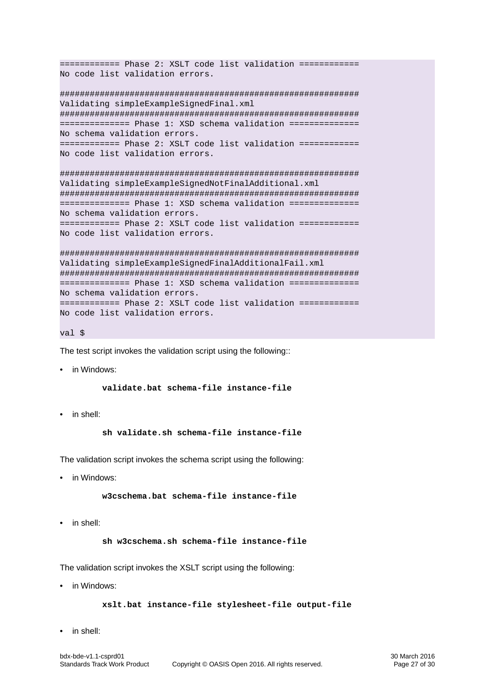```
============ Phase 2: XSLT code list validation ============
No code list validation errors.
############################################################
Validating simpleExampleSignedFinal.xml
############################################################
============== Phase 1: XSD schema validation ==============
No schema validation errors.
============ Phase 2: XSLT code list validation ============
No code list validation errors.
############################################################
Validating simpleExampleSignedNotFinalAdditional.xml
############################################################
============== Phase 1: XSD schema validation ==============
No schema validation errors.
============ Phase 2: XSLT code list validation ============
No code list validation errors.
############################################################
Validating simpleExampleSignedFinalAdditionalFail.xml
############################################################
============== Phase 1: XSD schema validation ==============
No schema validation errors.
============ Phase 2: XSLT code list validation ============
No code list validation errors.
```

```
val $
```
The test script invokes the validation script using the following::

• in Windows:

**validate.bat schema-file instance-file**

• in shell:

**sh validate.sh schema-file instance-file**

The validation script invokes the schema script using the following:

• in Windows:

**w3cschema.bat schema-file instance-file**

• in shell:

**sh w3cschema.sh schema-file instance-file**

The validation script invokes the XSLT script using the following:

• in Windows:

```
xslt.bat instance-file stylesheet-file output-file
```
• in shell: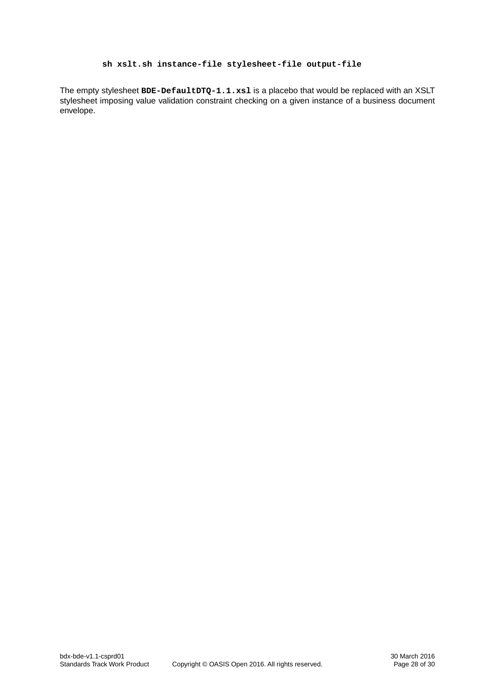#### **sh xslt.sh instance-file stylesheet-file output-file**

The empty stylesheet **BDE-DefaultDTQ-1.1.xsl** is a placebo that would be replaced with an XSLT stylesheet imposing value validation constraint checking on a given instance of a business document envelope.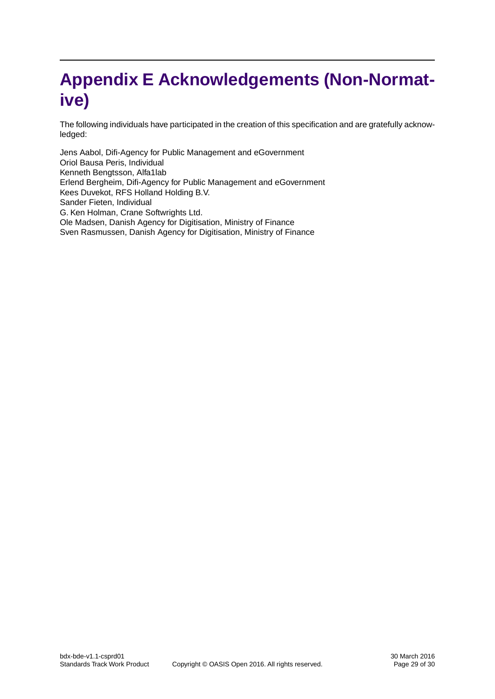## <span id="page-28-0"></span>**Appendix E Acknowledgements (Non-Normative)**

The following individuals have participated in the creation of this specification and are gratefully acknowledged:

Jens Aabol, Difi-Agency for Public Management and eGovernment Oriol Bausa Peris, Individual Kenneth Bengtsson, Alfa1lab Erlend Bergheim, Difi-Agency for Public Management and eGovernment Kees Duvekot, RFS Holland Holding B.V. Sander Fieten, Individual G. Ken Holman, Crane Softwrights Ltd. Ole Madsen, Danish Agency for Digitisation, Ministry of Finance Sven Rasmussen, Danish Agency for Digitisation, Ministry of Finance